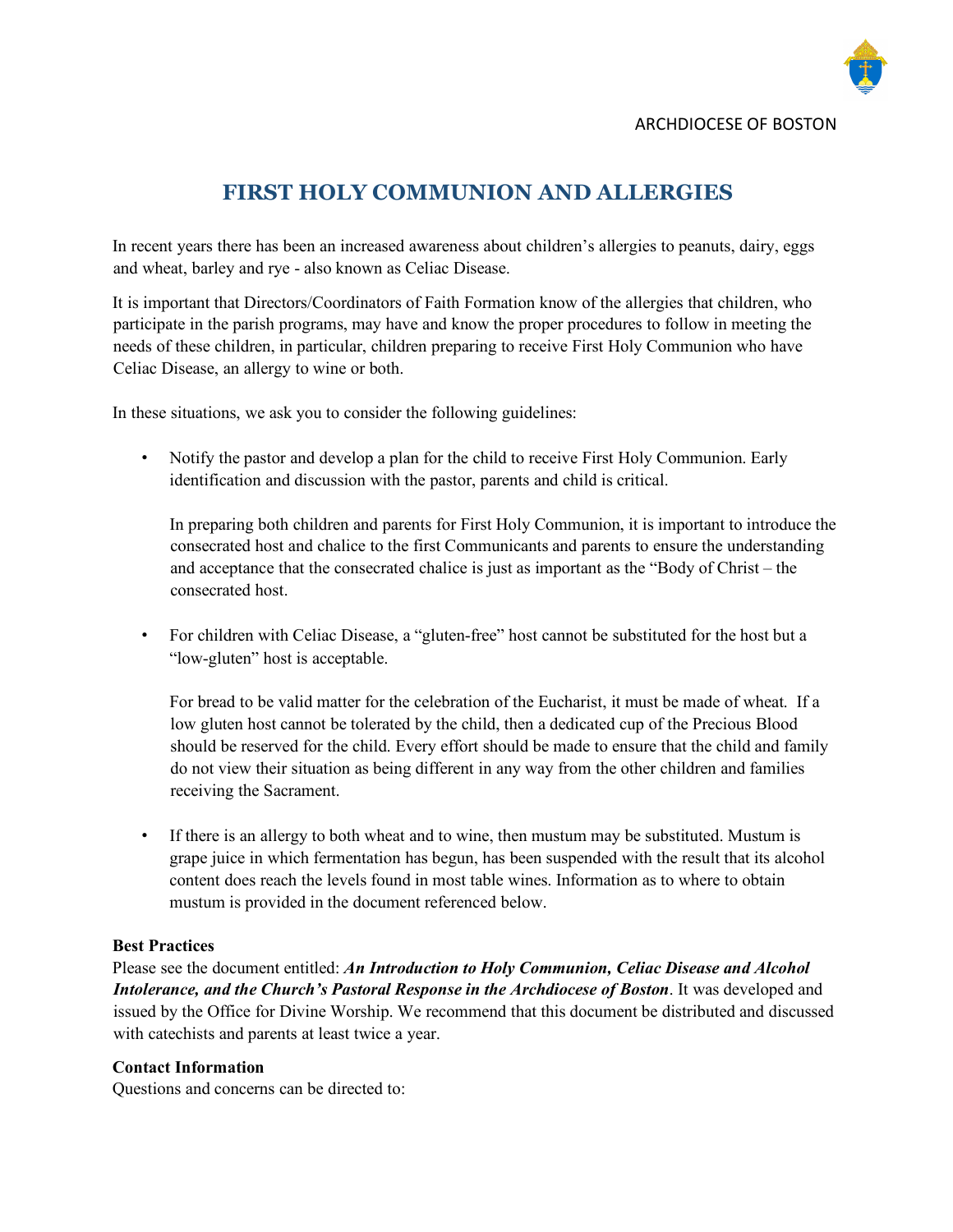

## **FIRST HOLY COMMUNION AND ALLERGIES**

In recent years there has been an increased awareness about children's allergies to peanuts, dairy, eggs and wheat, barley and rye - also known as Celiac Disease.

It is important that Directors/Coordinators of Faith Formation know of the allergies that children, who participate in the parish programs, may have and know the proper procedures to follow in meeting the needs of these children, in particular, children preparing to receive First Holy Communion who have Celiac Disease, an allergy to wine or both.

In these situations, we ask you to consider the following guidelines:

• Notify the pastor and develop a plan for the child to receive First Holy Communion. Early identification and discussion with the pastor, parents and child is critical.

In preparing both children and parents for First Holy Communion, it is important to introduce the consecrated host and chalice to the first Communicants and parents to ensure the understanding and acceptance that the consecrated chalice is just as important as the "Body of Christ – the consecrated host.

• For children with Celiac Disease, a "gluten-free" host cannot be substituted for the host but a "low-gluten" host is acceptable.

For bread to be valid matter for the celebration of the Eucharist, it must be made of wheat. If a low gluten host cannot be tolerated by the child, then a dedicated cup of the Precious Blood should be reserved for the child. Every effort should be made to ensure that the child and family do not view their situation as being different in any way from the other children and families receiving the Sacrament.

• If there is an allergy to both wheat and to wine, then mustum may be substituted. Mustum is grape juice in which fermentation has begun, has been suspended with the result that its alcohol content does reach the levels found in most table wines. Information as to where to obtain mustum is provided in the document referenced below.

## **Best Practices**

Please see the document entitled: *An Introduction to Holy Communion, Celiac Disease and Alcohol Intolerance, and the Church's Pastoral Response in the Archdiocese of Boston*. It was developed and issued by the Office for Divine Worship. We recommend that this document be distributed and discussed with catechists and parents at least twice a year.

## **Contact Information**

Questions and concerns can be directed to: